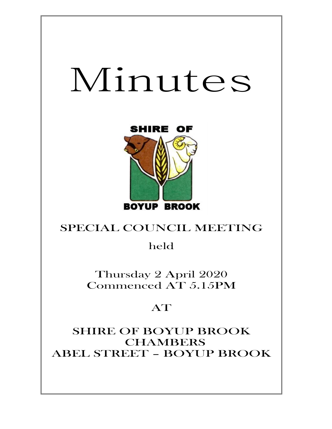# Minutes



## SPECIAL COUNCIL MEETING

held

Thursday 2 April 2020 Commenced AT 5.15PM

## AT

SHIRE OF BOYUP BROOK **CHAMBERS** ABEL STREET – BOYUP BROOK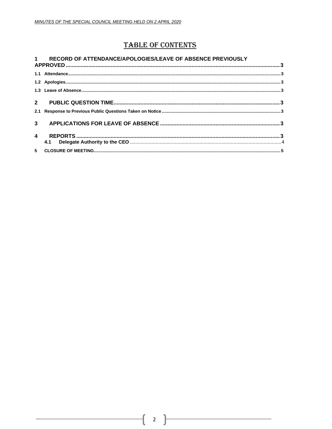### **TABLE OF CONTENTS**

|                | 1 RECORD OF ATTENDANCE/APOLOGIES/LEAVE OF ABSENCE PREVIOUSLY |  |
|----------------|--------------------------------------------------------------|--|
|                |                                                              |  |
|                |                                                              |  |
|                |                                                              |  |
|                |                                                              |  |
|                |                                                              |  |
|                |                                                              |  |
| $\overline{4}$ | 4.1                                                          |  |
|                |                                                              |  |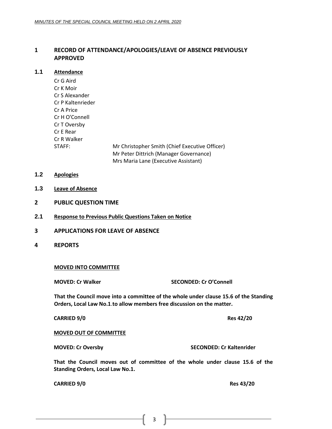#### <span id="page-2-0"></span>**1 RECORD OF ATTENDANCE/APOLOGIES/LEAVE OF ABSENCE PREVIOUSLY APPROVED**

#### <span id="page-2-1"></span>**1.1 Attendance**

Cr G Aird Cr K Moir Cr S Alexander Cr P Kaltenrieder Cr A Price Cr H O'Connell Cr T Oversby Cr E Rear Cr R Walker STAFF: Mr Christopher Smith (Chief Executive Officer) Mr Peter Dittrich (Manager Governance)

Mrs Maria Lane (Executive Assistant)

- <span id="page-2-2"></span>**1.2 Apologies**
- <span id="page-2-3"></span>**1.3 Leave of Absence**
- <span id="page-2-4"></span>**2 PUBLIC QUESTION TIME**
- <span id="page-2-5"></span>**2.1 Response to Previous Public Questions Taken on Notice**
- <span id="page-2-6"></span>**3 APPLICATIONS FOR LEAVE OF ABSENCE**
- <span id="page-2-7"></span>**4 REPORTS**

#### **MOVED INTO COMMITTEE**

**MOVED: Cr Walker SECONDED: Cr O'Connell**

**That the Council move into a committee of the whole under clause 15.6 of the Standing Orders, Local Law No.1**.**to allow members free discussion on the matter.**

**CARRIED 9/0 Res 42/20**

**MOVED OUT OF COMMITTEE**

**MOVED: Cr Oversby SECONDED: Cr Kaltenrider**

**That the Council moves out of committee of the whole under clause 15.6 of the Standing Orders, Local Law No.1.**

**CARRIED 9/0 Res 43/20**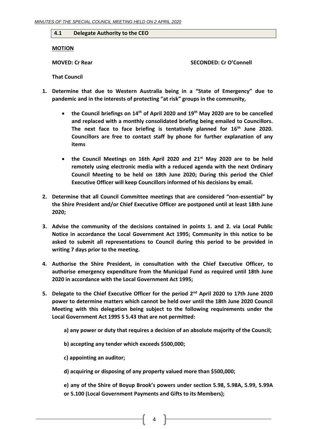#### <span id="page-3-0"></span>**4.1 Delegate Authority to the CEO**

**MOTION**

**MOVED: Cr Rear SECONDED: Cr O'Connell**

**That Council**

- **1. Determine that due to Western Australia being in a "State of Emergency" due to pandemic and in the interests of protecting "at risk" groups in the community,** 
	- **the Council briefings on 14th of April 2020 and 19th May 2020 are to be cancelled and replaced with a monthly consolidated briefing being emailed to Councillors. The next face to face briefing is tentatively planned for 16th June 2020. Councillors are free to contact staff by phone for further explanation of any items**
	- **the Council Meetings on 16th April 2020 and 21st May 2020 are to be held remotely using electronic media with a reduced agenda with the next Ordinary Council Meeting to be held on 18th June 2020; During this period the Chief Executive Officer will keep Councillors informed of his decisions by email.**
- **2. Determine that all Council Committee meetings that are considered "non-essential" by the Shire President and/or Chief Executive Officer are postponed until at least 18th June 2020;**
- **3. Advise the community of the decisions contained in points 1. and 2. via Local Public Notice in accordance the Local Government Act 1995; Community in this notice to be asked to submit all representations to Council during this period to be provided in writing 7 days prior to the meeting.**
- **4. Authorise the Shire President, in consultation with the Chief Executive Officer, to authorise emergency expenditure from the Municipal Fund as required until 18th June 2020 in accordance with the Local Government Act 1995;**
- **5. Delegate to the Chief Executive Officer for the period 2nd April 2020 to 17th June 2020 power to determine matters which cannot be held over until the 18th June 2020 Council Meeting with this delegation being subject to the following requirements under the Local Government Act 1995 S 5.43 that are not permitted:** 
	- **a) any power or duty that requires a decision of an absolute majority of the Council;**
	- **b) accepting any tender which exceeds \$500,000;**
	- **c) appointing an auditor;**
	- **d) acquiring or disposing of any property valued more than \$500,000;**

**e) any of the Shire of Boyup Brook's powers under section 5.98, 5.98A, 5.99, 5.99A or 5.100 (Local Government Payments and Gifts to its Members);** 

4